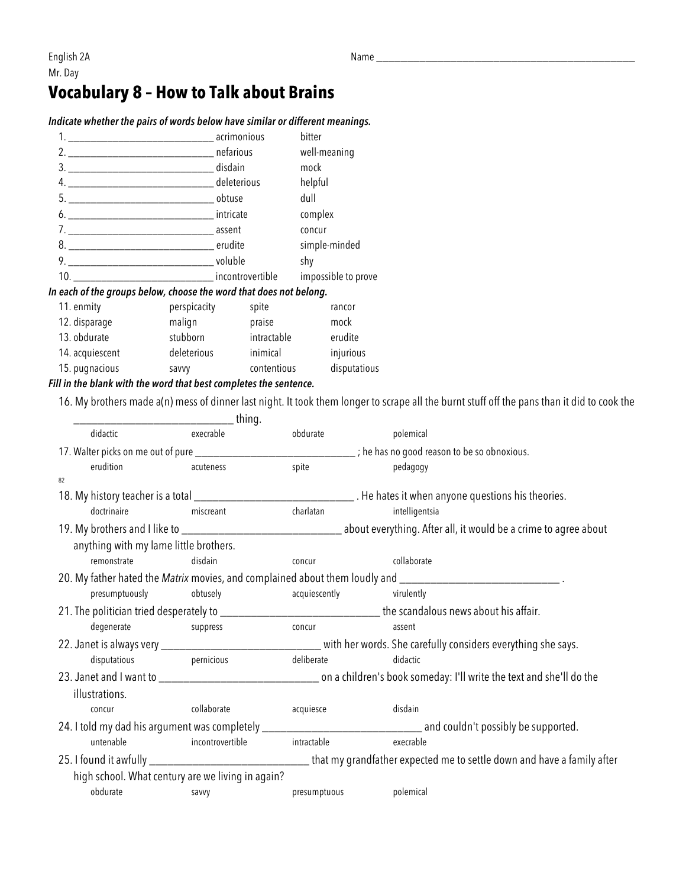## **Vocabulary 8 – How to Talk about Brains**

## *Indicate whether the pairs of words below have similar or different meanings.*

| 1. <b>Example 2018</b> acrimonious                                        |              |             | bitter        |  |  |  |  |  |
|---------------------------------------------------------------------------|--------------|-------------|---------------|--|--|--|--|--|
|                                                                           |              |             | well-meaning  |  |  |  |  |  |
|                                                                           |              |             | mock          |  |  |  |  |  |
|                                                                           |              |             | helpful       |  |  |  |  |  |
|                                                                           |              |             | dull          |  |  |  |  |  |
|                                                                           |              |             | complex       |  |  |  |  |  |
|                                                                           |              |             | concur        |  |  |  |  |  |
|                                                                           |              |             | simple-minded |  |  |  |  |  |
| 9. voluble                                                                |              |             | shy           |  |  |  |  |  |
| 10. ________________________________ incontrovertible impossible to prove |              |             |               |  |  |  |  |  |
| In each of the groups below, choose the word that does not belong.        |              |             |               |  |  |  |  |  |
| 11. enmity                                                                | perspicacity | spite       | rancor        |  |  |  |  |  |
| 12. disparage                                                             | malign       | praise      | mock          |  |  |  |  |  |
| 13. obdurate                                                              | stubborn     | intractable | erudite       |  |  |  |  |  |

14. acquiescent deleterious inimical injurious

## 15. pugnacious savvy contentious disputatious *Fill in the blank with the word that best completes the sentence.*

16. My brothers made a(n) mess of dinner last night. It took them longer to scrape all the burnt stuff off the pans than it did to cook the

|                                                                                                                       |                                        | thing.                                            |                                                              |                                                                                                                        |
|-----------------------------------------------------------------------------------------------------------------------|----------------------------------------|---------------------------------------------------|--------------------------------------------------------------|------------------------------------------------------------------------------------------------------------------------|
| didactic                                                                                                              |                                        | execrable                                         | obdurate                                                     | polemical                                                                                                              |
| 17. Walter picks on me out of pure _____________________                                                              |                                        |                                                   | _________________; he has no good reason to be so obnoxious. |                                                                                                                        |
|                                                                                                                       | erudition                              | acuteness                                         | spite                                                        | pedagogy                                                                                                               |
| 82                                                                                                                    |                                        |                                                   |                                                              |                                                                                                                        |
| 18. My history teacher is a total __________________________________. He hates it when anyone questions his theories. |                                        |                                                   |                                                              |                                                                                                                        |
|                                                                                                                       | doctrinaire                            | miscreant                                         | charlatan                                                    | intelligentsia                                                                                                         |
|                                                                                                                       |                                        |                                                   |                                                              |                                                                                                                        |
|                                                                                                                       | anything with my lame little brothers. |                                                   |                                                              |                                                                                                                        |
|                                                                                                                       | remonstrate                            | disdain                                           | concur                                                       | collaborate                                                                                                            |
|                                                                                                                       |                                        |                                                   |                                                              | 20. My father hated the Matrix movies, and complained about them loudly and __________________________________         |
|                                                                                                                       | presumptuously                         | obtusely                                          | acquiescently                                                | virulently                                                                                                             |
|                                                                                                                       |                                        |                                                   |                                                              | 21. The politician tried desperately to __________________________________the scandalous news about his affair.        |
|                                                                                                                       | degenerate<br>suppress                 |                                                   | concur                                                       | assent                                                                                                                 |
|                                                                                                                       |                                        |                                                   |                                                              | 22. Janet is always very _________________________________with her words. She carefully considers everything she says. |
|                                                                                                                       | disputatious                           | pernicious                                        | deliberate                                                   | didactic                                                                                                               |
|                                                                                                                       |                                        |                                                   |                                                              |                                                                                                                        |
| illustrations.                                                                                                        |                                        |                                                   |                                                              |                                                                                                                        |
| concur                                                                                                                |                                        | collaborate                                       | acquiesce                                                    | disdain                                                                                                                |
|                                                                                                                       |                                        |                                                   |                                                              |                                                                                                                        |
|                                                                                                                       | untenable                              | incontrovertible                                  | intractable                                                  | execrable                                                                                                              |
|                                                                                                                       |                                        |                                                   |                                                              |                                                                                                                        |
|                                                                                                                       |                                        | high school. What century are we living in again? |                                                              |                                                                                                                        |
| obdurate                                                                                                              |                                        | savvy                                             | presumptuous                                                 | polemical                                                                                                              |
|                                                                                                                       |                                        |                                                   |                                                              |                                                                                                                        |